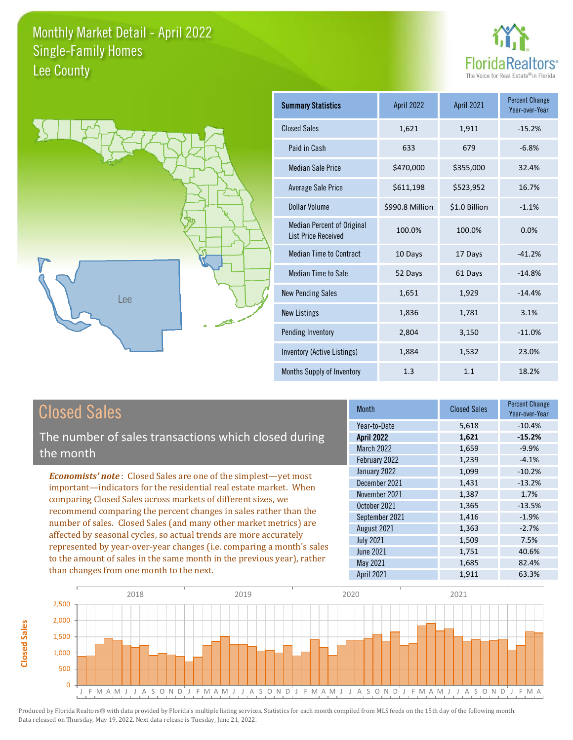



| Summary Statistics                                              | April 2022      | <b>April 2021</b> | <b>Percent Change</b><br>Year-over-Year |
|-----------------------------------------------------------------|-----------------|-------------------|-----------------------------------------|
| <b>Closed Sales</b>                                             | 1,621           | 1,911             | $-15.2%$                                |
| Paid in Cash                                                    | 633             | 679               | $-6.8%$                                 |
| <b>Median Sale Price</b>                                        | \$470,000       | \$355,000         | 32.4%                                   |
| <b>Average Sale Price</b>                                       | \$611,198       | \$523,952         | 16.7%                                   |
| Dollar Volume                                                   | \$990.8 Million | \$1.0 Billion     | $-1.1%$                                 |
| <b>Median Percent of Original</b><br><b>List Price Received</b> | 100.0%          | 100.0%            | 0.0%                                    |
| <b>Median Time to Contract</b>                                  | 10 Days         | 17 Days           | $-41.2%$                                |
| Median Time to Sale                                             | 52 Days         | 61 Days           | $-14.8%$                                |
| <b>New Pending Sales</b>                                        | 1,651           | 1,929             | $-14.4%$                                |
| <b>New Listings</b>                                             | 1,836           | 1,781             | 3.1%                                    |
| Pending Inventory                                               | 2,804           | 3,150             | $-11.0%$                                |
| Inventory (Active Listings)                                     | 1,884           | 1,532             | 23.0%                                   |
| Months Supply of Inventory                                      | 1.3             | 1.1               | 18.2%                                   |

### Closed Sales

The number of sales transactions which closed during the month

*Economists' note* : Closed Sales are one of the simplest—yet most important—indicators for the residential real estate market. When comparing Closed Sales across markets of different sizes, we recommend comparing the percent changes in sales rather than the number of sales. Closed Sales (and many other market metrics) are affected by seasonal cycles, so actual trends are more accurately represented by year-over-year changes (i.e. comparing a month's sales to the amount of sales in the same month in the previous year), rather than changes from one month to the next.

| Month             | <b>Closed Sales</b> | <b>Percent Change</b><br>Year-over-Year |
|-------------------|---------------------|-----------------------------------------|
| Year-to-Date      | 5,618               | $-10.4%$                                |
| <b>April 2022</b> | 1,621               | $-15.2%$                                |
| <b>March 2022</b> | 1,659               | $-9.9%$                                 |
| February 2022     | 1,239               | $-4.1%$                                 |
| January 2022      | 1,099               | $-10.2%$                                |
| December 2021     | 1,431               | $-13.2%$                                |
| November 2021     | 1,387               | 1.7%                                    |
| October 2021      | 1,365               | $-13.5%$                                |
| September 2021    | 1,416               | $-1.9%$                                 |
| August 2021       | 1,363               | $-2.7%$                                 |
| <b>July 2021</b>  | 1,509               | 7.5%                                    |
| <b>June 2021</b>  | 1,751               | 40.6%                                   |
| May 2021          | 1,685               | 82.4%                                   |
| April 2021        | 1,911               | 63.3%                                   |



**Closed Sales**

**Closed Sales**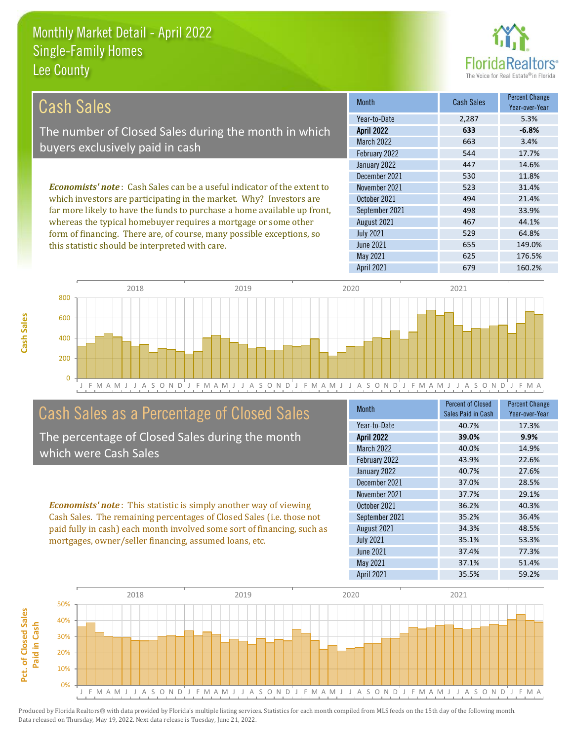this statistic should be interpreted with care.



655 149.0%

| Cash Sales                                                                     | <b>Month</b>      | Cash Sales | <b>Percent Change</b><br>Year-over-Year |
|--------------------------------------------------------------------------------|-------------------|------------|-----------------------------------------|
|                                                                                | Year-to-Date      | 2.287      | 5.3%                                    |
| The number of Closed Sales during the month in which                           | <b>April 2022</b> | 633        | $-6.8%$                                 |
| buyers exclusively paid in cash                                                | <b>March 2022</b> | 663        | 3.4%                                    |
|                                                                                | February 2022     | 544        | 17.7%                                   |
|                                                                                | January 2022      | 447        | 14.6%                                   |
|                                                                                | December 2021     | 530        | 11.8%                                   |
| <b>Economists' note:</b> Cash Sales can be a useful indicator of the extent to | November 2021     | 523        | 31.4%                                   |
| which investors are participating in the market. Why? Investors are            | October 2021      | 494        | 21.4%                                   |
| far more likely to have the funds to purchase a home available up front,       | September 2021    | 498        | 33.9%                                   |
| whereas the typical homebuyer requires a mortgage or some other                | August 2021       | 467        | 44.1%                                   |
| form of financing. There are, of course, many possible exceptions, so          | <b>July 2021</b>  | 529        | 64.8%                                   |



#### Cash Sales as a Percentage of Closed Sales

The percentage of Closed Sales during the month which were Cash Sales

*Economists' note* : This statistic is simply another way of viewing Cash Sales. The remaining percentages of Closed Sales (i.e. those not paid fully in cash) each month involved some sort of financing, such as mortgages, owner/seller financing, assumed loans, etc.

| <b>Month</b>      | <b>Percent of Closed</b><br>Sales Paid in Cash | <b>Percent Change</b><br>Year-over-Year |
|-------------------|------------------------------------------------|-----------------------------------------|
| Year-to-Date      | 40.7%                                          | 17.3%                                   |
| <b>April 2022</b> | 39.0%                                          | 9.9%                                    |
| <b>March 2022</b> | 40.0%                                          | 14.9%                                   |
| February 2022     | 43.9%                                          | 22.6%                                   |
| January 2022      | 40.7%                                          | 27.6%                                   |
| December 2021     | 37.0%                                          | 28.5%                                   |
| November 2021     | 37.7%                                          | 29.1%                                   |
| October 2021      | 36.2%                                          | 40.3%                                   |
| September 2021    | 35.2%                                          | 36.4%                                   |
| August 2021       | 34.3%                                          | 48.5%                                   |
| <b>July 2021</b>  | 35.1%                                          | 53.3%                                   |
| June 2021         | 37.4%                                          | 77.3%                                   |
| <b>May 2021</b>   | 37.1%                                          | 51.4%                                   |
| <b>April 2021</b> | 35.5%                                          | 59.2%                                   |

May 2021 625 176.5%

June 2021

April 2021 679 160.2%



**Cash Sales**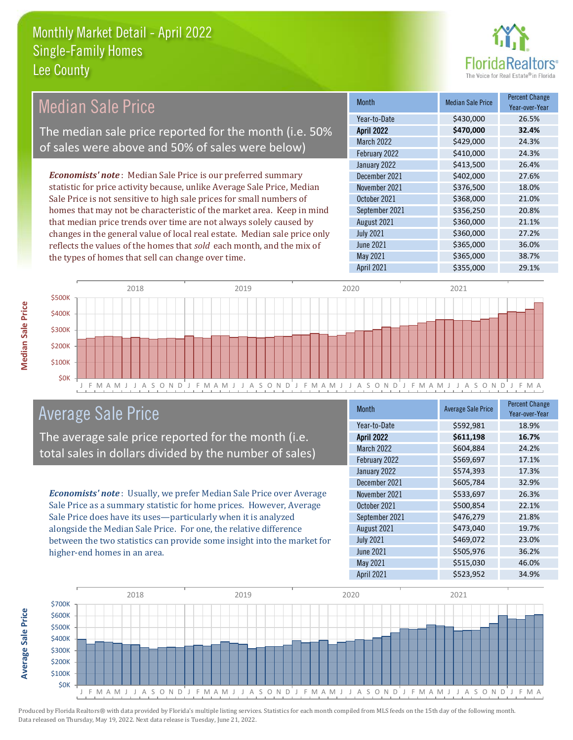

| <b>Median Sale Price</b>                                                  | <b>Month</b>      | <b>Median Sale Price</b> | <b>Percent Change</b><br>Year-over-Year |
|---------------------------------------------------------------------------|-------------------|--------------------------|-----------------------------------------|
|                                                                           | Year-to-Date      | \$430,000                | 26.5%                                   |
| The median sale price reported for the month (i.e. 50%                    | <b>April 2022</b> | \$470,000                | 32.4%                                   |
| of sales were above and 50% of sales were below)                          | <b>March 2022</b> | \$429,000                | 24.3%                                   |
|                                                                           | February 2022     | \$410,000                | 24.3%                                   |
|                                                                           | January 2022      | \$413,500                | 26.4%                                   |
| <b>Economists' note:</b> Median Sale Price is our preferred summary       | December 2021     | \$402,000                | 27.6%                                   |
| statistic for price activity because, unlike Average Sale Price, Median   | November 2021     | \$376,500                | 18.0%                                   |
| Sale Price is not sensitive to high sale prices for small numbers of      | October 2021      | \$368,000                | 21.0%                                   |
| homes that may not be characteristic of the market area. Keep in mind     | September 2021    | \$356,250                | 20.8%                                   |
| that median price trends over time are not always solely caused by        | August 2021       | \$360,000                | 21.1%                                   |
| changes in the general value of local real estate. Median sale price only | <b>July 2021</b>  | \$360,000                | 27.2%                                   |
| reflects the values of the homes that sold each month, and the mix of     | June 2021         | \$365,000                | 36.0%                                   |
| the types of homes that sell can change over time.                        | May 2021          | \$365,000                | 38.7%                                   |
|                                                                           | <b>April 2021</b> | \$355,000                | 29.1%                                   |



#### Average Sale Price

The average sale price reported for the month (i.e. total sales in dollars divided by the number of sales)

*Economists' note* : Usually, we prefer Median Sale Price over Average Sale Price as a summary statistic for home prices. However, Average Sale Price does have its uses—particularly when it is analyzed alongside the Median Sale Price. For one, the relative difference between the two statistics can provide some insight into the market for higher-end homes in an area.

| <b>Month</b>      | <b>Average Sale Price</b> | <b>Percent Change</b><br>Year-over-Year |
|-------------------|---------------------------|-----------------------------------------|
| Year-to-Date      | \$592,981                 | 18.9%                                   |
| <b>April 2022</b> | \$611,198                 | 16.7%                                   |
| March 2022        | \$604,884                 | 24.2%                                   |
| February 2022     | \$569,697                 | 17.1%                                   |
| January 2022      | \$574,393                 | 17.3%                                   |
| December 2021     | \$605,784                 | 32.9%                                   |
| November 2021     | \$533,697                 | 26.3%                                   |
| October 2021      | \$500,854                 | 22.1%                                   |
| September 2021    | \$476,279                 | 21.8%                                   |
| August 2021       | \$473,040                 | 19.7%                                   |
| <b>July 2021</b>  | \$469,072                 | 23.0%                                   |
| <b>June 2021</b>  | \$505,976                 | 36.2%                                   |
| May 2021          | \$515,030                 | 46.0%                                   |
| April 2021        | \$523,952                 | 34.9%                                   |



Produced by Florida Realtors® with data provided by Florida's multiple listing services. Statistics for each month compiled from MLS feeds on the 15th day of the following month. Data released on Thursday, May 19, 2022. Next data release is Tuesday, June 21, 2022.

**Average Sale Price**

**Average Sale Price**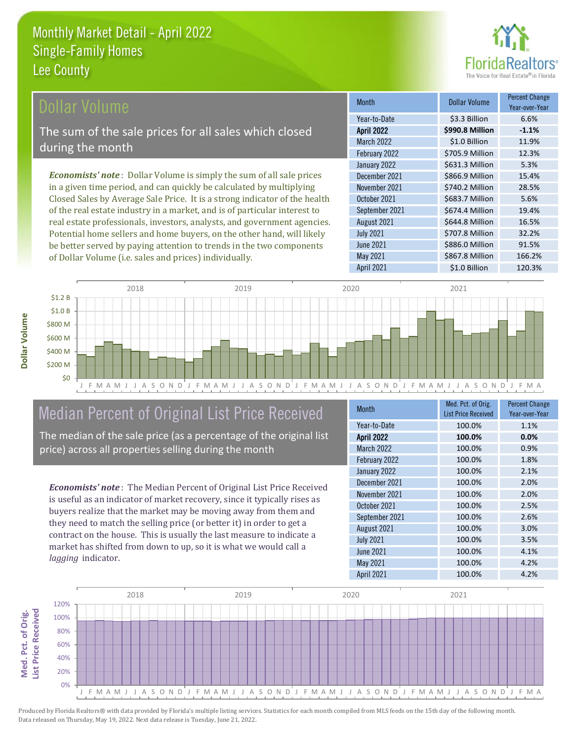

#### Dollar Volume

The sum of the sale prices for all sales which closed during the month

*Economists' note* : Dollar Volume is simply the sum of all sale prices in a given time period, and can quickly be calculated by multiplying Closed Sales by Average Sale Price. It is a strong indicator of the health of the real estate industry in a market, and is of particular interest to real estate professionals, investors, analysts, and government agencies. Potential home sellers and home buyers, on the other hand, will likely be better served by paying attention to trends in the two components of Dollar Volume (i.e. sales and prices) individually.

| <b>Month</b>      | <b>Dollar Volume</b> | <b>Percent Change</b><br>Year-over-Year |
|-------------------|----------------------|-----------------------------------------|
| Year-to-Date      | \$3.3 Billion        | 6.6%                                    |
| <b>April 2022</b> | \$990.8 Million      | $-1.1%$                                 |
| <b>March 2022</b> | \$1.0 Billion        | 11.9%                                   |
| February 2022     | \$705.9 Million      | 12.3%                                   |
| January 2022      | \$631.3 Million      | 5.3%                                    |
| December 2021     | \$866.9 Million      | 15.4%                                   |
| November 2021     | \$740.2 Million      | 28.5%                                   |
| October 2021      | \$683.7 Million      | 5.6%                                    |
| September 2021    | \$674.4 Million      | 19.4%                                   |
| August 2021       | \$644.8 Million      | 16.5%                                   |
| <b>July 2021</b>  | \$707.8 Million      | 32.2%                                   |
| <b>June 2021</b>  | \$886.0 Million      | 91.5%                                   |
| May 2021          | \$867.8 Million      | 166.2%                                  |
| April 2021        | \$1.0 Billion        | 120.3%                                  |



#### Median Percent of Original List Price Received

The median of the sale price (as a percentage of the original list price) across all properties selling during the month

*Economists' note* : The Median Percent of Original List Price Received is useful as an indicator of market recovery, since it typically rises as buyers realize that the market may be moving away from them and they need to match the selling price (or better it) in order to get a contract on the house. This is usually the last measure to indicate a market has shifted from down to up, so it is what we would call a *lagging* indicator.

| <b>Month</b>      | Med. Pct. of Orig.<br><b>List Price Received</b> | <b>Percent Change</b><br>Year-over-Year |
|-------------------|--------------------------------------------------|-----------------------------------------|
| Year-to-Date      | 100.0%                                           | 1.1%                                    |
| <b>April 2022</b> | 100.0%                                           | 0.0%                                    |
| March 2022        | 100.0%                                           | 0.9%                                    |
| February 2022     | 100.0%                                           | 1.8%                                    |
| January 2022      | 100.0%                                           | 2.1%                                    |
| December 2021     | 100.0%                                           | 2.0%                                    |
| November 2021     | 100.0%                                           | 2.0%                                    |
| October 2021      | 100.0%                                           | 2.5%                                    |
| September 2021    | 100.0%                                           | 2.6%                                    |
| August 2021       | 100.0%                                           | 3.0%                                    |
| <b>July 2021</b>  | 100.0%                                           | 3.5%                                    |
| <b>June 2021</b>  | 100.0%                                           | 4.1%                                    |
| May 2021          | 100.0%                                           | 4.2%                                    |
| <b>April 2021</b> | 100.0%                                           | 4.2%                                    |



Produced by Florida Realtors® with data provided by Florida's multiple listing services. Statistics for each month compiled from MLS feeds on the 15th day of the following month. Data released on Thursday, May 19, 2022. Next data release is Tuesday, June 21, 2022.

**Med. Pct. of Orig.** 

Med. Pct. of Orig.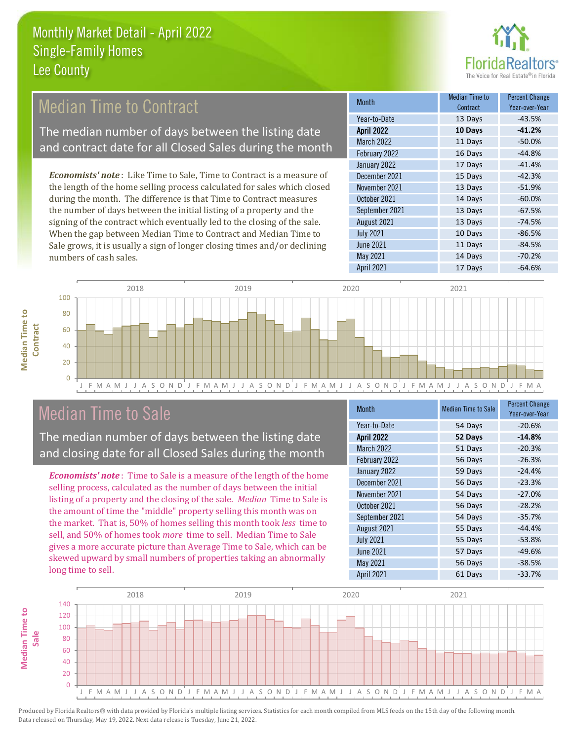

#### Median Time to Contract

The median number of days between the listing date and contract date for all Closed Sales during the month

*Economists' note* : Like Time to Sale, Time to Contract is a measure of the length of the home selling process calculated for sales which closed during the month. The difference is that Time to Contract measures the number of days between the initial listing of a property and the signing of the contract which eventually led to the closing of the sale. When the gap between Median Time to Contract and Median Time to Sale grows, it is usually a sign of longer closing times and/or declining numbers of cash sales.

| <b>Month</b>      | Median Time to<br>Contract | <b>Percent Change</b><br>Year-over-Year |
|-------------------|----------------------------|-----------------------------------------|
| Year-to-Date      | 13 Days                    | $-43.5%$                                |
| <b>April 2022</b> | 10 Days                    | $-41.2%$                                |
| <b>March 2022</b> | 11 Days                    | $-50.0%$                                |
| February 2022     | 16 Days                    | $-44.8%$                                |
| January 2022      | 17 Days                    | $-41.4%$                                |
| December 2021     | 15 Days                    | $-42.3%$                                |
| November 2021     | 13 Days                    | $-51.9%$                                |
| October 2021      | 14 Days                    | $-60.0%$                                |
| September 2021    | 13 Days                    | $-67.5%$                                |
| August 2021       | 13 Days                    | $-74.5%$                                |
| <b>July 2021</b>  | 10 Days                    | $-86.5%$                                |
| <b>June 2021</b>  | 11 Days                    | $-84.5%$                                |
| May 2021          | 14 Days                    | $-70.2%$                                |
| April 2021        | 17 Days                    | $-64.6%$                                |



#### Median Time to Sale

**Median Time to** 

**Median Time to** 

The median number of days between the listing date and closing date for all Closed Sales during the month

*Economists' note* : Time to Sale is a measure of the length of the home selling process, calculated as the number of days between the initial listing of a property and the closing of the sale. *Median* Time to Sale is the amount of time the "middle" property selling this month was on the market. That is, 50% of homes selling this month took *less* time to sell, and 50% of homes took *more* time to sell. Median Time to Sale gives a more accurate picture than Average Time to Sale, which can be skewed upward by small numbers of properties taking an abnormally long time to sell.

| <b>Month</b>      | <b>Median Time to Sale</b> | <b>Percent Change</b><br>Year-over-Year |
|-------------------|----------------------------|-----------------------------------------|
| Year-to-Date      | 54 Days                    | $-20.6%$                                |
| <b>April 2022</b> | 52 Days                    | $-14.8%$                                |
| March 2022        | 51 Days                    | $-20.3%$                                |
| February 2022     | 56 Days                    | $-26.3%$                                |
| January 2022      | 59 Days                    | $-24.4%$                                |
| December 2021     | 56 Days                    | $-23.3%$                                |
| November 2021     | 54 Days                    | $-27.0%$                                |
| October 2021      | 56 Days                    | $-28.2%$                                |
| September 2021    | 54 Days                    | $-35.7%$                                |
| August 2021       | 55 Days                    | $-44.4%$                                |
| <b>July 2021</b>  | 55 Days                    | $-53.8%$                                |
| <b>June 2021</b>  | 57 Days                    | $-49.6%$                                |
| May 2021          | 56 Days                    | $-38.5%$                                |
| <b>April 2021</b> | 61 Days                    | $-33.7%$                                |

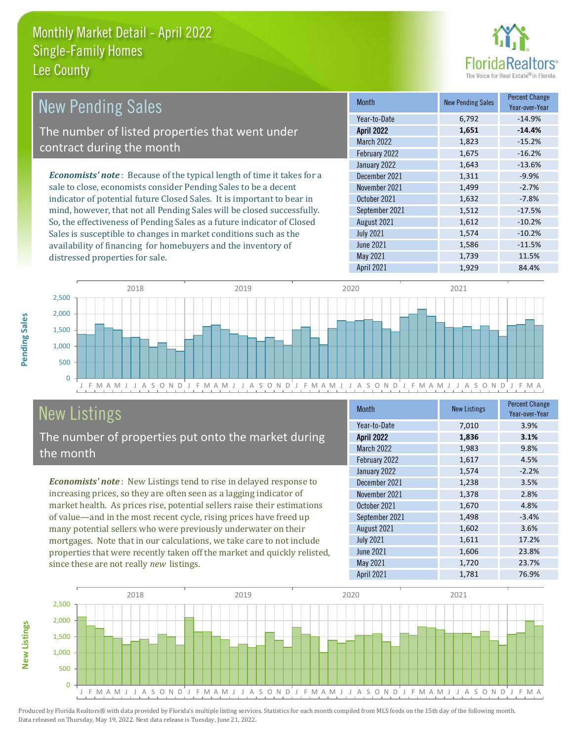

| <b>New Pending Sales</b>                                                      | <b>Month</b>      | <b>New Pending Sales</b> | <b>Percent Change</b><br>Year-over-Year |
|-------------------------------------------------------------------------------|-------------------|--------------------------|-----------------------------------------|
|                                                                               | Year-to-Date      | 6.792                    | $-14.9%$                                |
| The number of listed properties that went under                               | <b>April 2022</b> | 1,651                    | $-14.4%$                                |
| contract during the month                                                     | <b>March 2022</b> | 1,823                    | $-15.2%$                                |
|                                                                               | February 2022     | 1,675                    | $-16.2%$                                |
|                                                                               | January 2022      | 1,643                    | $-13.6%$                                |
| <b>Economists' note:</b> Because of the typical length of time it takes for a | December 2021     | 1,311                    | $-9.9%$                                 |
| sale to close, economists consider Pending Sales to be a decent               | November 2021     | 1,499                    | $-2.7%$                                 |
| indicator of potential future Closed Sales. It is important to bear in        | October 2021      | 1,632                    | $-7.8%$                                 |
| mind, however, that not all Pending Sales will be closed successfully.        | September 2021    | 1,512                    | $-17.5%$                                |
| So, the effectiveness of Pending Sales as a future indicator of Closed        | August 2021       | 1,612                    | $-10.2%$                                |
| Sales is susceptible to changes in market conditions such as the              | <b>July 2021</b>  | 1.574                    | $-10.2%$                                |



## New Listings

distressed properties for sale.

The number of properties put onto the market during the month

availability of financing for homebuyers and the inventory of

*Economists' note* : New Listings tend to rise in delayed response to increasing prices, so they are often seen as a lagging indicator of market health. As prices rise, potential sellers raise their estimations of value—and in the most recent cycle, rising prices have freed up many potential sellers who were previously underwater on their mortgages. Note that in our calculations, we take care to not include properties that were recently taken off the market and quickly relisted, since these are not really *new* listings.

| <b>Month</b>      | <b>New Listings</b> | <b>Percent Change</b><br>Year-over-Year |
|-------------------|---------------------|-----------------------------------------|
| Year-to-Date      | 7,010               | 3.9%                                    |
| <b>April 2022</b> | 1,836               | 3.1%                                    |
| March 2022        | 1,983               | 9.8%                                    |
| February 2022     | 1,617               | 4.5%                                    |
| January 2022      | 1,574               | $-2.2%$                                 |
| December 2021     | 1,238               | 3.5%                                    |
| November 2021     | 1,378               | 2.8%                                    |
| October 2021      | 1,670               | 4.8%                                    |
| September 2021    | 1,498               | $-3.4%$                                 |
| August 2021       | 1,602               | 3.6%                                    |
| <b>July 2021</b>  | 1,611               | 17.2%                                   |
| <b>June 2021</b>  | 1,606               | 23.8%                                   |
| May 2021          | 1,720               | 23.7%                                   |
| April 2021        | 1,781               | 76.9%                                   |

June 2021 **1,586** -11.5% May 2021 1,739 1,739 11.5%



**New Listings**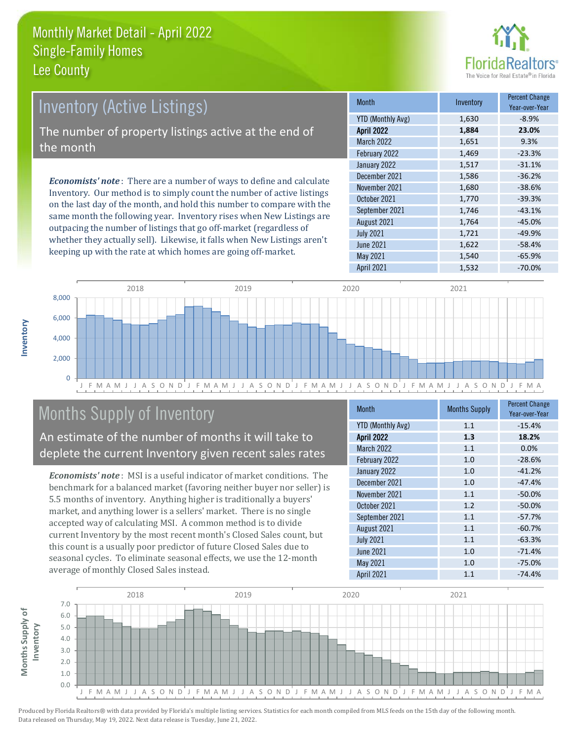

#### Inventory (Active Listings) The number of property listings active at the end of the month

*Economists' note* : There are a number of ways to define and calculate Inventory. Our method is to simply count the number of active listings on the last day of the month, and hold this number to compare with the same month the following year. Inventory rises when New Listings are outpacing the number of listings that go off-market (regardless of whether they actually sell). Likewise, it falls when New Listings aren't keeping up with the rate at which homes are going off-market.

| <b>Month</b>             | Inventory | <b>Percent Change</b><br>Year-over-Year |
|--------------------------|-----------|-----------------------------------------|
| <b>YTD (Monthly Avg)</b> | 1,630     | $-8.9%$                                 |
| <b>April 2022</b>        | 1,884     | 23.0%                                   |
| <b>March 2022</b>        | 1,651     | 9.3%                                    |
| February 2022            | 1,469     | $-23.3%$                                |
| January 2022             | 1,517     | $-31.1%$                                |
| December 2021            | 1,586     | $-36.2%$                                |
| November 2021            | 1,680     | $-38.6%$                                |
| October 2021             | 1,770     | $-39.3%$                                |
| September 2021           | 1,746     | $-43.1%$                                |
| August 2021              | 1,764     | $-45.0%$                                |
| <b>July 2021</b>         | 1,721     | $-49.9%$                                |
| <b>June 2021</b>         | 1,622     | $-58.4%$                                |
| May 2021                 | 1,540     | $-65.9%$                                |
| <b>April 2021</b>        | 1,532     | $-70.0%$                                |



#### Months Supply of Inventory

An estimate of the number of months it will take to deplete the current Inventory given recent sales rates

*Economists' note* : MSI is a useful indicator of market conditions. The benchmark for a balanced market (favoring neither buyer nor seller) is 5.5 months of inventory. Anything higher is traditionally a buyers' market, and anything lower is a sellers' market. There is no single accepted way of calculating MSI. A common method is to divide current Inventory by the most recent month's Closed Sales count, but this count is a usually poor predictor of future Closed Sales due to seasonal cycles. To eliminate seasonal effects, we use the 12-month average of monthly Closed Sales instead.

| <b>Month</b>             | <b>Months Supply</b> | <b>Percent Change</b><br>Year-over-Year |
|--------------------------|----------------------|-----------------------------------------|
| <b>YTD (Monthly Avg)</b> | 1.1                  | $-15.4%$                                |
| <b>April 2022</b>        | 1.3                  | 18.2%                                   |
| March 2022               | 1.1                  | 0.0%                                    |
| February 2022            | 1.0                  | $-28.6%$                                |
| January 2022             | 1.0                  | $-41.2%$                                |
| December 2021            | 1.0                  | $-47.4%$                                |
| November 2021            | 1.1                  | $-50.0%$                                |
| October 2021             | 1.2                  | $-50.0%$                                |
| September 2021           | 1.1                  | $-57.7%$                                |
| August 2021              | 1.1                  | $-60.7%$                                |
| <b>July 2021</b>         | 1.1                  | $-63.3%$                                |
| <b>June 2021</b>         | 1.0                  | $-71.4%$                                |
| May 2021                 | 1.0                  | $-75.0%$                                |
| <b>April 2021</b>        | 1.1                  | $-74.4%$                                |

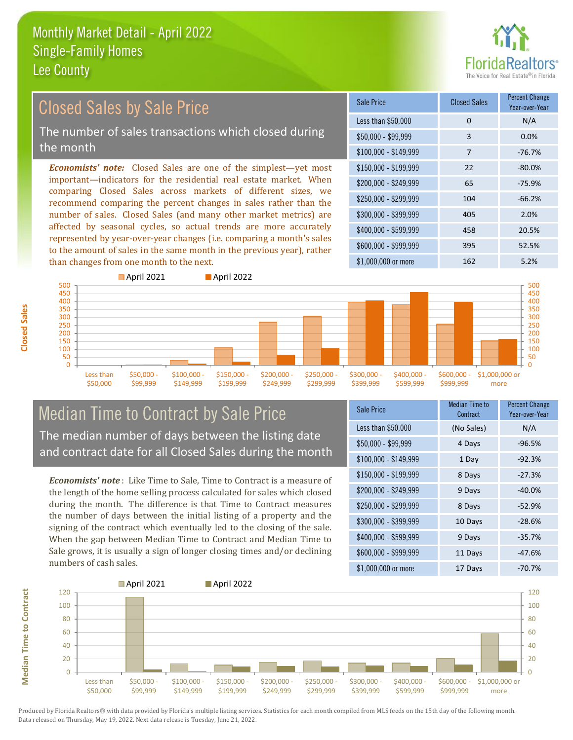

#### \$100,000 - \$149,999 7 -76.7% Sale Price Closed Sales Percent Change Year-over-Year Less than \$50,000 0 0 N/A  $$50,000 - $99,999$  3 0.0%  $$150.000 - $199.999$  22 -80.0% \$200,000 - \$249,999 65 -75.9% \$400,000 - \$599,999 458 20.5% \$600,000 - \$999,999 395 52.5% *Economists' note:* Closed Sales are one of the simplest—yet most important—indicators for the residential real estate market. When comparing Closed Sales across markets of different sizes, we recommend comparing the percent changes in sales rather than the number of sales. Closed Sales (and many other market metrics) are affected by seasonal cycles, so actual trends are more accurately represented by year-over-year changes (i.e. comparing a month's sales to the amount of sales in the same month in the previous year), rather than changes from one month to the next. \$1,000,000 or more 162 162 5.2%  $$250,000 - $299,999$  104 -66.2% \$300,000 - \$399,999 405 2.0% **April 2021 April 2022** Closed Sales by Sale Price The number of sales transactions which closed during the month



#### Median Time to Contract by Sale Price The median number of days between the listing date and contract date for all Closed Sales during the month

*Economists' note* : Like Time to Sale, Time to Contract is a measure of the length of the home selling process calculated for sales which closed during the month. The difference is that Time to Contract measures the number of days between the initial listing of a property and the signing of the contract which eventually led to the closing of the sale. When the gap between Median Time to Contract and Median Time to Sale grows, it is usually a sign of longer closing times and/or declining numbers of cash sales.

| Sale Price            | <b>Median Time to</b><br>Contract | <b>Percent Change</b><br>Year-over-Year |
|-----------------------|-----------------------------------|-----------------------------------------|
| Less than \$50,000    | (No Sales)                        | N/A                                     |
| $$50,000 - $99,999$   | 4 Days                            | $-96.5%$                                |
| $$100,000 - $149,999$ | 1 Day                             | $-92.3%$                                |
| \$150,000 - \$199,999 | 8 Days                            | $-27.3%$                                |
| \$200,000 - \$249,999 | 9 Days                            | $-40.0\%$                               |
| \$250,000 - \$299,999 | 8 Days                            | $-52.9%$                                |
| \$300,000 - \$399,999 | 10 Days                           | $-28.6%$                                |
| \$400,000 - \$599,999 | 9 Days                            | $-35.7%$                                |
| \$600,000 - \$999,999 | 11 Days                           | $-47.6%$                                |
| \$1,000,000 or more   | 17 Days                           | $-70.7%$                                |

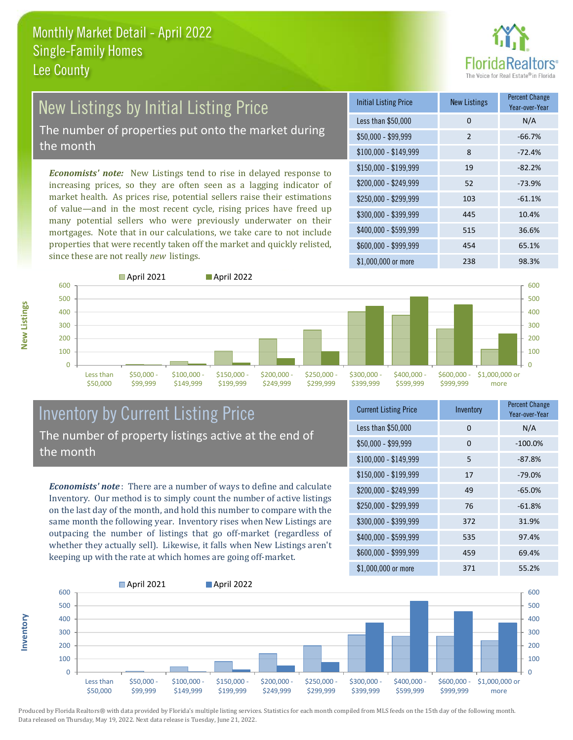

# **New Listings by Initial Listing Price**

The number of properties put onto the market during the month

*Economists' note:* New Listings tend to rise in delayed response to increasing prices, so they are often seen as a lagging indicator of market health. As prices rise, potential sellers raise their estimations of value—and in the most recent cycle, rising prices have freed up many potential sellers who were previously underwater on their mortgages. Note that in our calculations, we take care to not include properties that were recently taken off the market and quickly relisted, since these are not really *new* listings.

| <b>Initial Listing Price</b> | <b>New Listings</b> | <b>Percent Change</b><br>Year-over-Year |
|------------------------------|---------------------|-----------------------------------------|
| Less than \$50,000           | 0                   | N/A                                     |
| $$50,000 - $99,999$          | $\overline{2}$      | $-66.7%$                                |
| $$100,000 - $149,999$        | 8                   | $-72.4%$                                |
| $$150,000 - $199,999$        | 19                  | $-82.2%$                                |
| \$200,000 - \$249,999        | 52                  | $-73.9%$                                |
| $$250,000 - $299,999$        | 103                 | $-61.1%$                                |
| \$300,000 - \$399,999        | 445                 | 10.4%                                   |
| \$400,000 - \$599,999        | 515                 | 36.6%                                   |
| \$600,000 - \$999,999        | 454                 | 65.1%                                   |
| \$1,000,000 or more          | 238                 | 98.3%                                   |



**Inventory**



#### Inventory by Current Listing Price The number of property listings active at the end of the month

*Economists' note* : There are a number of ways to define and calculate Inventory. Our method is to simply count the number of active listings on the last day of the month, and hold this number to compare with the same month the following year. Inventory rises when New Listings are outpacing the number of listings that go off-market (regardless of whether they actually sell). Likewise, it falls when New Listings aren't keeping up with the rate at which homes are going off-market.

| <b>Current Listing Price</b> | Inventory | <b>Percent Change</b><br>Year-over-Year |
|------------------------------|-----------|-----------------------------------------|
| Less than \$50,000           | 0         | N/A                                     |
| \$50,000 - \$99,999          | 0         | $-100.0%$                               |
| $$100,000 - $149,999$        | 5         | $-87.8%$                                |
| $$150,000 - $199,999$        | 17        | $-79.0%$                                |
| \$200,000 - \$249,999        | 49        | $-65.0%$                                |
| \$250,000 - \$299,999        | 76        | $-61.8%$                                |
| \$300,000 - \$399,999        | 372       | 31.9%                                   |
| $$400,000 - $599,999$        | 535       | 97.4%                                   |
| \$600,000 - \$999,999        | 459       | 69.4%                                   |
| \$1,000,000 or more          | 371       | 55.2%                                   |